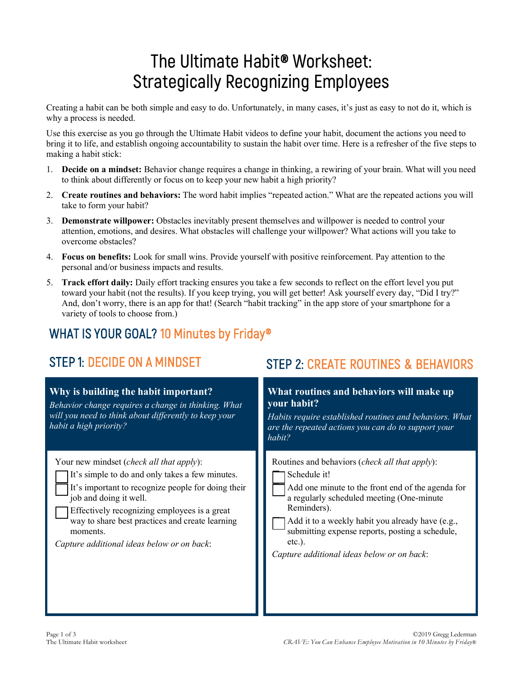# **The Ultimate Habit® Worksheet: Strategically Recognizing Employees**

Creating a habit can be both simple and easy to do. Unfortunately, in many cases, it's just as easy to not do it, which is why a process is needed.

Use this exercise as you go through the Ultimate Habit videos to define your habit, document the actions you need to bring it to life, and establish ongoing accountability to sustain the habit over time. Here is a refresher of the five steps to making a habit stick:

- 1. **Decide on a mindset:** Behavior change requires a change in thinking, a rewiring of your brain. What will you need to think about differently or focus on to keep your new habit a high priority?
- 2. **Create routines and behaviors:** The word habit implies "repeated action." What are the repeated actions you will take to form your habit?
- 3. **Demonstrate willpower:** Obstacles inevitably present themselves and willpower is needed to control your attention, emotions, and desires. What obstacles will challenge your willpower? What actions will you take to overcome obstacles?
- 4. **Focus on benefits:** Look for small wins. Provide yourself with positive reinforcement. Pay attention to the personal and/or business impacts and results.
- 5. **Track effort daily:** Daily effort tracking ensures you take a few seconds to reflect on the effort level you put toward your habit (not the results). If you keep trying, you will get better! Ask yourself every day, "Did I try?" And, don't worry, there is an app for that! (Search "habit tracking" in the app store of your smartphone for a variety of tools to choose from.)

## WHAT IS YOUR GOAL? 10 Minutes by Friday®

| Why is building the habit important?<br>Behavior change requires a change in thinking. What<br>will you need to think about differently to keep your<br>habit a high priority?                                                                                                                                                                    | What routines and behaviors will make up<br>your habit?<br>Habits require established routines and behaviors. What<br>are the repeated actions you can do to support your<br>habit?                                                                                                                                                                         |
|---------------------------------------------------------------------------------------------------------------------------------------------------------------------------------------------------------------------------------------------------------------------------------------------------------------------------------------------------|-------------------------------------------------------------------------------------------------------------------------------------------------------------------------------------------------------------------------------------------------------------------------------------------------------------------------------------------------------------|
| Your new mindset ( <i>check all that apply</i> ):<br>It's simple to do and only takes a few minutes.<br>It's important to recognize people for doing their<br>job and doing it well.<br>Effectively recognizing employees is a great<br>way to share best practices and create learning<br>moments.<br>Capture additional ideas below or on back: | Routines and behaviors ( <i>check all that apply</i> ):<br>Schedule it!<br>Add one minute to the front end of the agenda for<br>a regularly scheduled meeting (One-minute)<br>Reminders).<br>Add it to a weekly habit you already have (e.g.,<br>submitting expense reports, posting a schedule,<br>$etc.$ ).<br>Capture additional ideas below or on back: |

## STEP 1: DECIDE ON A MINDSET STEP 2: CREATE ROUTINES & BEHAVIORS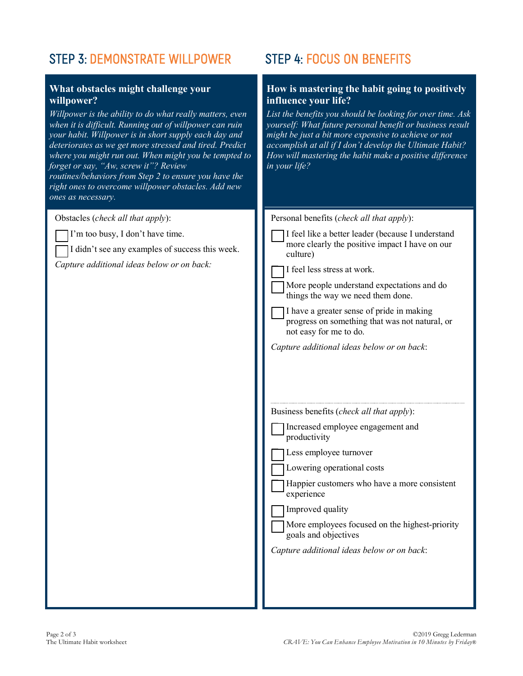## STEP 3: DEMONSTRATE WILLPOWER STEP 4: FOCUS ON BENEFITS

### **What obstacles might challenge your willpower?**

*Willpower is the ability to do what really matters, even when it is difficult. Running out of willpower can ruin your habit. Willpower is in short supply each day and deteriorates as we get more stressed and tired. Predict where you might run out. When might you be tempted to forget or say, "Aw, screw it"? Review routines/behaviors from Step 2 to ensure you have the right ones to overcome willpower obstacles. Add new ones as necessary.*

Obstacles (*check all that apply*):

I'm too busy, I don't have time.

I didn't see any examples of success this week.

*Capture additional ideas below or on back:*

### **How is mastering the habit going to positively influence your life?**

*List the benefits you should be looking for over time. Ask yourself: What future personal benefit or business result might be just a bit more expensive to achieve or not accomplish at all if I don't develop the Ultimate Habit? How will mastering the habit make a positive difference in your life?*

| Personal benefits (check all that apply):                                                                             |
|-----------------------------------------------------------------------------------------------------------------------|
| I feel like a better leader (because I understand<br>more clearly the positive impact I have on our<br>culture)       |
| I feel less stress at work.                                                                                           |
| More people understand expectations and do<br>things the way we need them done.                                       |
| I have a greater sense of pride in making<br>progress on something that was not natural, or<br>not easy for me to do. |
| Capture additional ideas below or on back:                                                                            |
| Business benefits (check all that apply):<br>Increased employee engagement and                                        |
| productivity                                                                                                          |
| Less employee turnover                                                                                                |
| Lowering operational costs                                                                                            |
| Happier customers who have a more consistent<br>experience                                                            |
| Improved quality                                                                                                      |
| More employees focused on the highest-priority<br>goals and objectives                                                |
| Capture additional ideas below or on back:                                                                            |
|                                                                                                                       |
|                                                                                                                       |
|                                                                                                                       |
|                                                                                                                       |